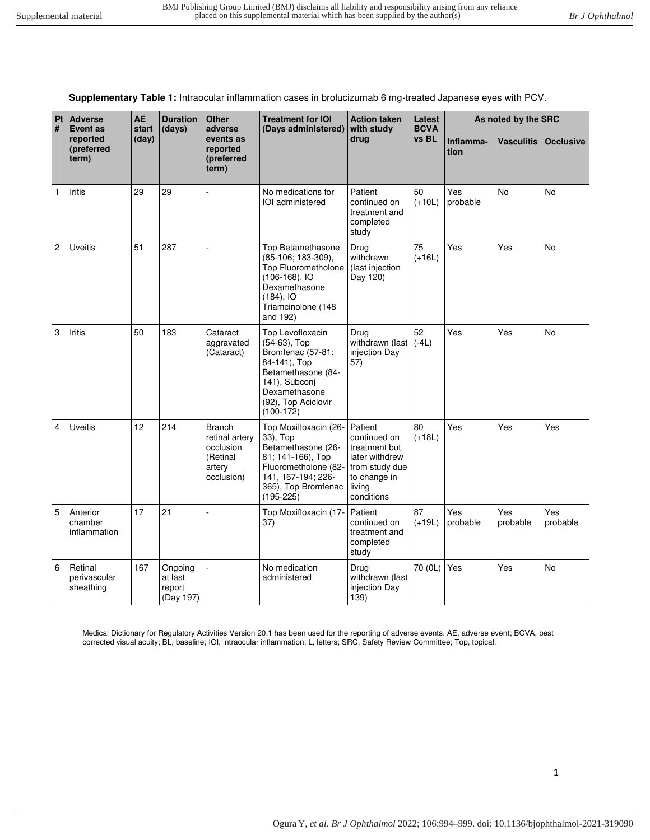**Supplementary Table 1:** Intraocular inflammation cases in brolucizumab 6 mg-treated Japanese eyes with PCV.

| Pt<br>#        | <b>Adverse</b><br><b>Event as</b><br>reported<br>(preferred<br>term) | <b>AE</b><br>start<br>(day) | <b>Duration</b><br>(days)                 | <b>Other</b><br>adverse<br>events as<br>reported<br>(preferred<br>term)          | <b>Treatment for IOI</b><br>(Days administered)                                                                                                                     | <b>Action taken</b><br>with study<br>drug                                                                            | Latest<br><b>BCVA</b><br>vs BL | As noted by the SRC |                   |                  |
|----------------|----------------------------------------------------------------------|-----------------------------|-------------------------------------------|----------------------------------------------------------------------------------|---------------------------------------------------------------------------------------------------------------------------------------------------------------------|----------------------------------------------------------------------------------------------------------------------|--------------------------------|---------------------|-------------------|------------------|
|                |                                                                      |                             |                                           |                                                                                  |                                                                                                                                                                     |                                                                                                                      |                                | Inflamma-<br>tion   | <b>Vasculitis</b> | <b>Occlusive</b> |
| 1              | <b>Iritis</b>                                                        | 29                          | 29                                        |                                                                                  | No medications for<br>IOI administered                                                                                                                              | Patient<br>continued on<br>treatment and<br>completed<br>study                                                       | 50<br>$(+10L)$                 | Yes<br>probable     | <b>No</b>         | <b>No</b>        |
| $\overline{2}$ | <b>Uveitis</b>                                                       | 51                          | 287                                       | L                                                                                | Top Betamethasone<br>(85-106; 183-309),<br>Top Fluorometholone<br>$(106-168)$ , IO<br>Dexamethasone<br>$(184)$ , IO<br>Triamcinolone (148<br>and 192)               | Drug<br>withdrawn<br>(last injection<br>Day 120)                                                                     | 75<br>$(+16L)$                 | Yes                 | Yes               | No               |
| 3              | Iritis                                                               | 50                          | 183                                       | Cataract<br>aggravated<br>(Cataract)                                             | Top Levofloxacin<br>(54-63), Top<br>Bromfenac (57-81;<br>84-141), Top<br>Betamethasone (84-<br>141), Subconj<br>Dexamethasone<br>(92), Top Aciclovir<br>$(100-172)$ | Drug<br>withdrawn (last<br>injection Day<br>57)                                                                      | 52<br>$(-4L)$                  | Yes                 | Yes               | No               |
| 4              | <b>Uveitis</b>                                                       | 12                          | 214                                       | <b>Branch</b><br>retinal artery<br>occlusion<br>(Retinal<br>artery<br>occlusion) | Top Moxifloxacin (26-<br>33), Top<br>Betamethasone (26-<br>81; 141-166), Top<br>Fluorometholone (82-<br>141, 167-194; 226-<br>365), Top Bromfenac<br>$(195 - 225)$  | Patient<br>continued on<br>treatment but<br>later withdrew<br>from study due<br>to change in<br>living<br>conditions | 80<br>$(+18L)$                 | Yes                 | Yes               | Yes              |
| 5              | Anterior<br>chamber<br>inflammation                                  | 17                          | 21                                        |                                                                                  | Top Moxifloxacin (17-<br>37)                                                                                                                                        | Patient<br>continued on<br>treatment and<br>completed<br>study                                                       | 87<br>$(+19L)$                 | Yes<br>probable     | Yes<br>probable   | Yes<br>probable  |
| 6              | Retinal<br>perivascular<br>sheathing                                 | 167                         | Ongoing<br>at last<br>report<br>(Day 197) |                                                                                  | No medication<br>administered                                                                                                                                       | Drug<br>withdrawn (last<br>injection Day<br>139)                                                                     | 70 (0L)                        | Yes                 | Yes               | <b>No</b>        |

Medical Dictionary for Regulatory Activities Version 20.1 has been used for the reporting of adverse events. AE, adverse event; BCVA, best corrected visual acuity; BL, baseline; IOI, intraocular inflammation; L, letters; SRC, Safety Review Committee; Top, topical.